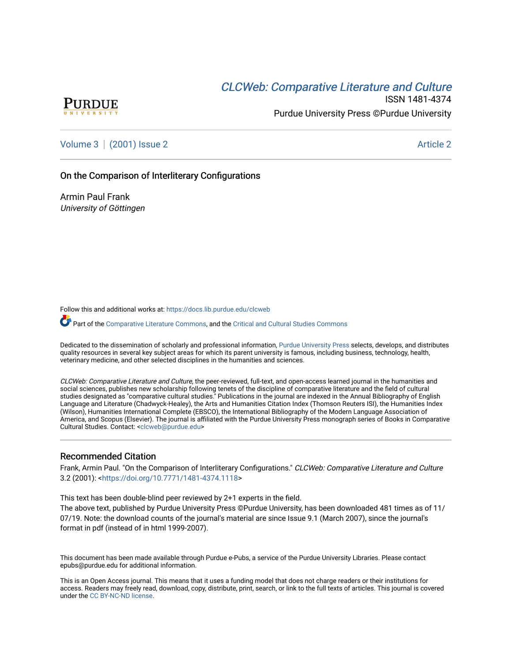# CLCW[eb: Comparative Liter](https://docs.lib.purdue.edu/clcweb)ature and Culture



ISSN 1481-4374 Purdue University Press ©Purdue University

[Volume 3](https://docs.lib.purdue.edu/clcweb/vol3) | [\(2001\) Issue 2](https://docs.lib.purdue.edu/clcweb/vol3/iss2) Article 2

### On the Comparison of Interliterary Configurations

Armin Paul Frank University of Göttingen

Follow this and additional works at: [https://docs.lib.purdue.edu/clcweb](https://docs.lib.purdue.edu/clcweb?utm_source=docs.lib.purdue.edu%2Fclcweb%2Fvol3%2Fiss2%2F2&utm_medium=PDF&utm_campaign=PDFCoverPages)

Part of the [Comparative Literature Commons,](http://network.bepress.com/hgg/discipline/454?utm_source=docs.lib.purdue.edu%2Fclcweb%2Fvol3%2Fiss2%2F2&utm_medium=PDF&utm_campaign=PDFCoverPages) and the [Critical and Cultural Studies Commons](http://network.bepress.com/hgg/discipline/328?utm_source=docs.lib.purdue.edu%2Fclcweb%2Fvol3%2Fiss2%2F2&utm_medium=PDF&utm_campaign=PDFCoverPages) 

Dedicated to the dissemination of scholarly and professional information, [Purdue University Press](http://www.thepress.purdue.edu/) selects, develops, and distributes quality resources in several key subject areas for which its parent university is famous, including business, technology, health, veterinary medicine, and other selected disciplines in the humanities and sciences.

CLCWeb: Comparative Literature and Culture, the peer-reviewed, full-text, and open-access learned journal in the humanities and social sciences, publishes new scholarship following tenets of the discipline of comparative literature and the field of cultural studies designated as "comparative cultural studies." Publications in the journal are indexed in the Annual Bibliography of English Language and Literature (Chadwyck-Healey), the Arts and Humanities Citation Index (Thomson Reuters ISI), the Humanities Index (Wilson), Humanities International Complete (EBSCO), the International Bibliography of the Modern Language Association of America, and Scopus (Elsevier). The journal is affiliated with the Purdue University Press monograph series of Books in Comparative Cultural Studies. Contact: [<clcweb@purdue.edu](mailto:clcweb@purdue.edu)>

#### Recommended Citation

Frank, Armin Paul. "On the Comparison of Interliterary Configurations." CLCWeb: Comparative Literature and Culture 3.2 (2001): [<https://doi.org/10.7771/1481-4374.1118>](https://doi.org/10.7771/1481-4374.1118)

This text has been double-blind peer reviewed by 2+1 experts in the field.

The above text, published by Purdue University Press ©Purdue University, has been downloaded 481 times as of 11/ 07/19. Note: the download counts of the journal's material are since Issue 9.1 (March 2007), since the journal's format in pdf (instead of in html 1999-2007).

This document has been made available through Purdue e-Pubs, a service of the Purdue University Libraries. Please contact epubs@purdue.edu for additional information.

This is an Open Access journal. This means that it uses a funding model that does not charge readers or their institutions for access. Readers may freely read, download, copy, distribute, print, search, or link to the full texts of articles. This journal is covered under the [CC BY-NC-ND license.](https://creativecommons.org/licenses/by-nc-nd/4.0/)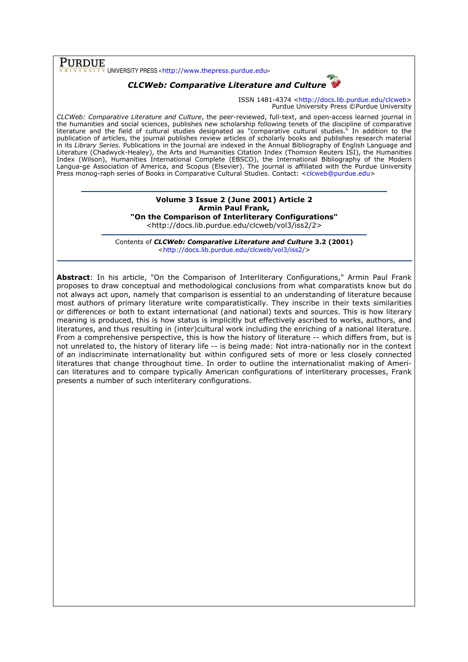$\overline{\text{PURDUE}}$  UNIVERSITY PRESS <http://www.thepress.purdue.edu>

# CLCWeb: Comparative Literature and Culture

ISSN 1481-4374 <http://docs.lib.purdue.edu/clcweb> Purdue University Press ©Purdue University

CLCWeb: Comparative Literature and Culture, the peer-reviewed, full-text, and open-access learned journal in the humanities and social sciences, publishes new scholarship following tenets of the discipline of comparative literature and the field of cultural studies designated as "comparative cultural studies." In addition to the publication of articles, the journal publishes review articles of scholarly books and publishes research material in its Library Series. Publications in the journal are indexed in the Annual Bibliography of English Language and Literature (Chadwyck-Healey), the Arts and Humanities Citation Index (Thomson Reuters ISI), the Humanities Index (Wilson), Humanities International Complete (EBSCO), the International Bibliography of the Modern Langua-ge Association of America, and Scopus (Elsevier). The journal is affiliated with the Purdue University Press monog-raph series of Books in Comparative Cultural Studies. Contact: <clcweb@purdue.edu>

## Volume 3 Issue 2 (June 2001) Article 2 Armin Paul Frank, "On the Comparison of Interliterary Configurations"

<http://docs.lib.purdue.edu/clcweb/vol3/iss2/2>

Contents of CLCWeb: Comparative Literature and Culture 3.2 (2001) <http://docs.lib.purdue.edu/clcweb/vol3/iss2/>

Abstract: In his article, "On the Comparison of Interliterary Configurations," Armin Paul Frank proposes to draw conceptual and methodological conclusions from what comparatists know but do not always act upon, namely that comparison is essential to an understanding of literature because most authors of primary literature write comparatistically. They inscribe in their texts similarities or differences or both to extant international (and national) texts and sources. This is how literary meaning is produced, this is how status is implicitly but effectively ascribed to works, authors, and literatures, and thus resulting in (inter)cultural work including the enriching of a national literature. From a comprehensive perspective, this is how the history of literature -- which differs from, but is not unrelated to, the history of literary life -- is being made: Not intra-nationally nor in the context of an indiscriminate internationality but within configured sets of more or less closely connected literatures that change throughout time. In order to outline the internationalist making of American literatures and to compare typically American configurations of interliterary processes, Frank presents a number of such interliterary configurations.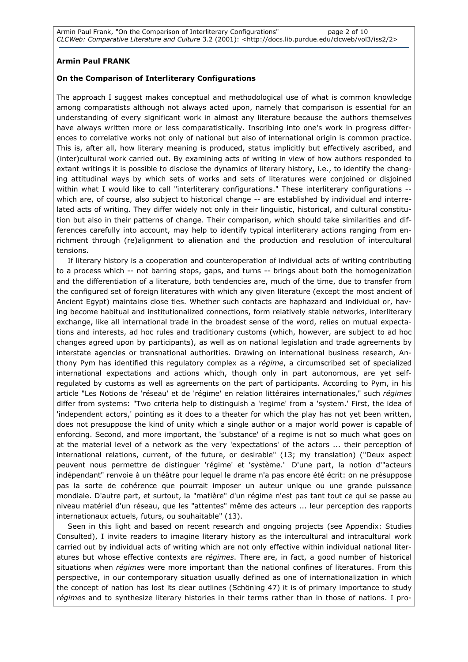## Armin Paul FRANK

### On the Comparison of Interliterary Configurations

The approach I suggest makes conceptual and methodological use of what is common knowledge among comparatists although not always acted upon, namely that comparison is essential for an understanding of every significant work in almost any literature because the authors themselves have always written more or less comparatistically. Inscribing into one's work in progress differences to correlative works not only of national but also of international origin is common practice. This is, after all, how literary meaning is produced, status implicitly but effectively ascribed, and (inter)cultural work carried out. By examining acts of writing in view of how authors responded to extant writings it is possible to disclose the dynamics of literary history, i.e., to identify the changing attitudinal ways by which sets of works and sets of literatures were conjoined or disjoined within what I would like to call "interliterary configurations." These interliterary configurations -which are, of course, also subject to historical change -- are established by individual and interrelated acts of writing. They differ widely not only in their linguistic, historical, and cultural constitution but also in their patterns of change. Their comparison, which should take similarities and differences carefully into account, may help to identify typical interliterary actions ranging from enrichment through (re)alignment to alienation and the production and resolution of intercultural tensions.

If literary history is a cooperation and counteroperation of individual acts of writing contributing to a process which -- not barring stops, gaps, and turns -- brings about both the homogenization and the differentiation of a literature, both tendencies are, much of the time, due to transfer from the configured set of foreign literatures with which any given literature (except the most ancient of Ancient Egypt) maintains close ties. Whether such contacts are haphazard and individual or, having become habitual and institutionalized connections, form relatively stable networks, interliterary exchange, like all international trade in the broadest sense of the word, relies on mutual expectations and interests, ad hoc rules and traditionary customs (which, however, are subject to ad hoc changes agreed upon by participants), as well as on national legislation and trade agreements by interstate agencies or transnational authorities. Drawing on international business research, Anthony Pym has identified this regulatory complex as a régime, a circumscribed set of specialized international expectations and actions which, though only in part autonomous, are yet selfregulated by customs as well as agreements on the part of participants. According to Pym, in his article "Les Notions de 'réseau' et de 'régime' en relation littéraires internationales," such régimes differ from systems: "Two criteria help to distinguish a 'regime' from a 'system.' First, the idea of 'independent actors,' pointing as it does to a theater for which the play has not yet been written, does not presuppose the kind of unity which a single author or a major world power is capable of enforcing. Second, and more important, the 'substance' of a regime is not so much what goes on at the material level of a network as the very 'expectations' of the actors ... their perception of international relations, current, of the future, or desirable" (13; my translation) ("Deux aspect peuvent nous permettre de distinguer 'régime' et 'système.' D'une part, la notion d'"acteurs indépendant" renvoie à un théâtre pour lequel le drame n'a pas encore été écrit: on ne présuppose pas la sorte de cohérence que pourrait imposer un auteur unique ou une grande puissance mondiale. D'autre part, et surtout, la "matière" d'un régime n'est pas tant tout ce qui se passe au niveau matériel d'un réseau, que les "attentes" même des acteurs ... leur perception des rapports internationaux actuels, futurs, ou souhaitable" (13).

Seen in this light and based on recent research and ongoing projects (see Appendix: Studies Consulted), I invite readers to imagine literary history as the intercultural and intracultural work carried out by individual acts of writing which are not only effective within individual national literatures but whose effective contexts are régimes. There are, in fact, a good number of historical situations when *régimes* were more important than the national confines of literatures. From this perspective, in our contemporary situation usually defined as one of internationalization in which the concept of nation has lost its clear outlines (Schöning 47) it is of primary importance to study régimes and to synthesize literary histories in their terms rather than in those of nations. I pro-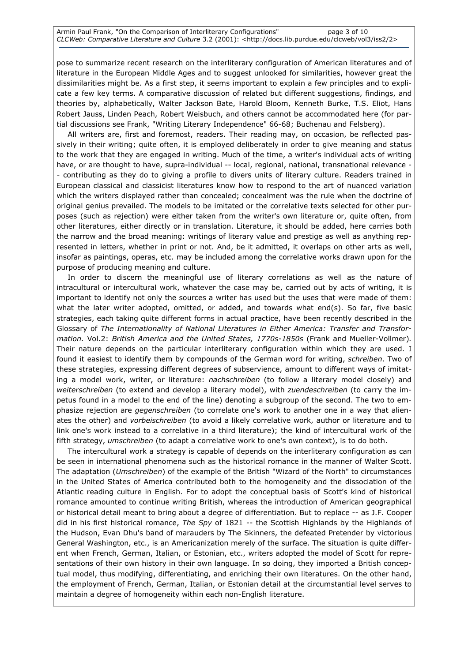pose to summarize recent research on the interliterary configuration of American literatures and of literature in the European Middle Ages and to suggest unlooked for similarities, however great the dissimilarities might be. As a first step, it seems important to explain a few principles and to explicate a few key terms. A comparative discussion of related but different suggestions, findings, and theories by, alphabetically, Walter Jackson Bate, Harold Bloom, Kenneth Burke, T.S. Eliot, Hans Robert Jauss, Linden Peach, Robert Weisbuch, and others cannot be accommodated here (for partial discussions see Frank, "Writing Literary Independence" 66-68; Buchenau and Felsberg).

All writers are, first and foremost, readers. Their reading may, on occasion, be reflected passively in their writing; quite often, it is employed deliberately in order to give meaning and status to the work that they are engaged in writing. Much of the time, a writer's individual acts of writing have, or are thought to have, supra-individual -- local, regional, national, transnational relevance -- contributing as they do to giving a profile to divers units of literary culture. Readers trained in European classical and classicist literatures know how to respond to the art of nuanced variation which the writers displayed rather than concealed; concealment was the rule when the doctrine of original genius prevailed. The models to be imitated or the correlative texts selected for other purposes (such as rejection) were either taken from the writer's own literature or, quite often, from other literatures, either directly or in translation. Literature, it should be added, here carries both the narrow and the broad meaning: writings of literary value and prestige as well as anything represented in letters, whether in print or not. And, be it admitted, it overlaps on other arts as well, insofar as paintings, operas, etc. may be included among the correlative works drawn upon for the purpose of producing meaning and culture.

In order to discern the meaningful use of literary correlations as well as the nature of intracultural or intercultural work, whatever the case may be, carried out by acts of writing, it is important to identify not only the sources a writer has used but the uses that were made of them: what the later writer adopted, omitted, or added, and towards what end(s). So far, five basic strategies, each taking quite different forms in actual practice, have been recently described in the Glossary of The Internationality of National Literatures in Either America: Transfer and Transformation. Vol.2: British America and the United States, 1770s-1850s (Frank and Mueller-Vollmer). Their nature depends on the particular interliterary configuration within which they are used. I found it easiest to identify them by compounds of the German word for writing, schreiben. Two of these strategies, expressing different degrees of subservience, amount to different ways of imitating a model work, writer, or literature: *nachschreiben* (to follow a literary model closely) and weiterschreiben (to extend and develop a literary model), with zuendeschreiben (to carry the impetus found in a model to the end of the line) denoting a subgroup of the second. The two to emphasize rejection are *gegenschreiben* (to correlate one's work to another one in a way that alienates the other) and vorbeischreiben (to avoid a likely correlative work, author or literature and to link one's work instead to a correlative in a third literature); the kind of intercultural work of the fifth strategy, *umschreiben* (to adapt a correlative work to one's own context), is to do both.

The intercultural work a strategy is capable of depends on the interliterary configuration as can be seen in international phenomena such as the historical romance in the manner of Walter Scott. The adaptation (Umschreiben) of the example of the British "Wizard of the North" to circumstances in the United States of America contributed both to the homogeneity and the dissociation of the Atlantic reading culture in English. For to adopt the conceptual basis of Scott's kind of historical romance amounted to continue writing British, whereas the introduction of American geographical or historical detail meant to bring about a degree of differentiation. But to replace -- as J.F. Cooper did in his first historical romance, The Spy of 1821 -- the Scottish Highlands by the Highlands of the Hudson, Evan Dhu's band of marauders by The Skinners, the defeated Pretender by victorious General Washington, etc., is an Americanization merely of the surface. The situation is quite different when French, German, Italian, or Estonian, etc., writers adopted the model of Scott for representations of their own history in their own language. In so doing, they imported a British conceptual model, thus modifying, differentiating, and enriching their own literatures. On the other hand, the employment of French, German, Italian, or Estonian detail at the circumstantial level serves to maintain a degree of homogeneity within each non-English literature.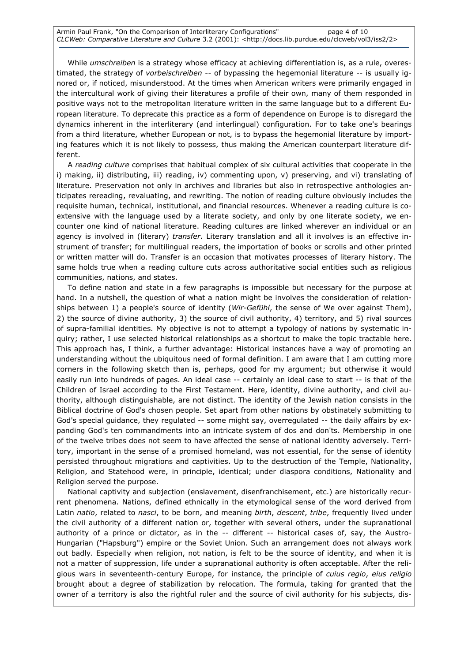Armin Paul Frank, "On the Comparison of Interliterary Configurations" page 4 of 10 CLCWeb: Comparative Literature and Culture 3.2 (2001): <http://docs.lib.purdue.edu/clcweb/vol3/iss2/2>

While *umschreiben* is a strategy whose efficacy at achieving differentiation is, as a rule, overestimated, the strategy of vorbeischreiben -- of bypassing the hegemonial literature -- is usually ignored or, if noticed, misunderstood. At the times when American writers were primarily engaged in the intercultural work of giving their literatures a profile of their own, many of them responded in positive ways not to the metropolitan literature written in the same language but to a different European literature. To deprecate this practice as a form of dependence on Europe is to disregard the dynamics inherent in the interliterary (and interlingual) configuration. For to take one's bearings from a third literature, whether European or not, is to bypass the hegemonial literature by importing features which it is not likely to possess, thus making the American counterpart literature different.

A reading culture comprises that habitual complex of six cultural activities that cooperate in the i) making, ii) distributing, iii) reading, iv) commenting upon, v) preserving, and vi) translating of literature. Preservation not only in archives and libraries but also in retrospective anthologies anticipates rereading, revaluating, and rewriting. The notion of reading culture obviously includes the requisite human, technical, institutional, and financial resources. Whenever a reading culture is coextensive with the language used by a literate society, and only by one literate society, we encounter one kind of national literature. Reading cultures are linked wherever an individual or an agency is involved in (literary) transfer. Literary translation and all it involves is an effective instrument of transfer; for multilingual readers, the importation of books or scrolls and other printed or written matter will do. Transfer is an occasion that motivates processes of literary history. The same holds true when a reading culture cuts across authoritative social entities such as religious communities, nations, and states.

To define nation and state in a few paragraphs is impossible but necessary for the purpose at hand. In a nutshell, the question of what a nation might be involves the consideration of relationships between 1) a people's source of identity (Wir-Gefühl, the sense of We over against Them), 2) the source of divine authority, 3) the source of civil authority, 4) territory, and 5) rival sources of supra-familial identities. My objective is not to attempt a typology of nations by systematic inquiry; rather, I use selected historical relationships as a shortcut to make the topic tractable here. This approach has, I think, a further advantage: Historical instances have a way of promoting an understanding without the ubiquitous need of formal definition. I am aware that I am cutting more corners in the following sketch than is, perhaps, good for my argument; but otherwise it would easily run into hundreds of pages. An ideal case -- certainly an ideal case to start -- is that of the Children of Israel according to the First Testament. Here, identity, divine authority, and civil authority, although distinguishable, are not distinct. The identity of the Jewish nation consists in the Biblical doctrine of God's chosen people. Set apart from other nations by obstinately submitting to God's special guidance, they regulated -- some might say, overregulated -- the daily affairs by expanding God's ten commandments into an intricate system of dos and don'ts. Membership in one of the twelve tribes does not seem to have affected the sense of national identity adversely. Territory, important in the sense of a promised homeland, was not essential, for the sense of identity persisted throughout migrations and captivities. Up to the destruction of the Temple, Nationality, Religion, and Statehood were, in principle, identical; under diaspora conditions, Nationality and Religion served the purpose.

National captivity and subjection (enslavement, disenfranchisement, etc.) are historically recurrent phenomena. Nations, defined ethnically in the etymological sense of the word derived from Latin natio, related to nasci, to be born, and meaning birth, descent, tribe, frequently lived under the civil authority of a different nation or, together with several others, under the supranational authority of a prince or dictator, as in the -- different -- historical cases of, say, the Austro-Hungarian ("Hapsburg") empire or the Soviet Union. Such an arrangement does not always work out badly. Especially when religion, not nation, is felt to be the source of identity, and when it is not a matter of suppression, life under a supranational authority is often acceptable. After the religious wars in seventeenth-century Europe, for instance, the principle of cuius regio, eius religio brought about a degree of stabilization by relocation. The formula, taking for granted that the owner of a territory is also the rightful ruler and the source of civil authority for his subjects, dis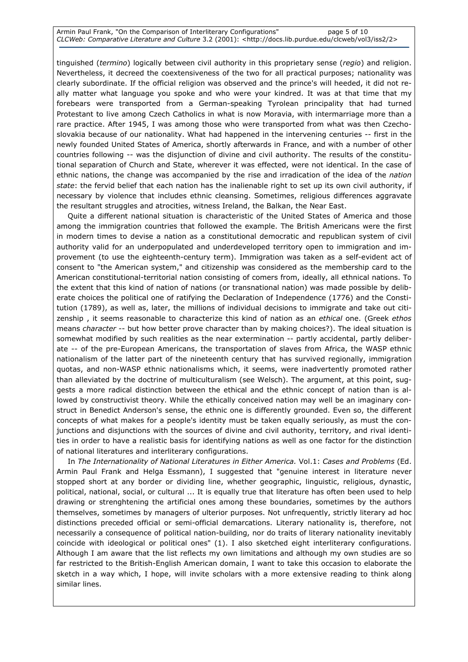Armin Paul Frank, "On the Comparison of Interliterary Configurations" page 5 of 10 CLCWeb: Comparative Literature and Culture 3.2 (2001): <http://docs.lib.purdue.edu/clcweb/vol3/iss2/2>

tinguished (termino) logically between civil authority in this proprietary sense (regio) and religion. Nevertheless, it decreed the coextensiveness of the two for all practical purposes; nationality was clearly subordinate. If the official religion was observed and the prince's will heeded, it did not really matter what language you spoke and who were your kindred. It was at that time that my forebears were transported from a German-speaking Tyrolean principality that had turned Protestant to live among Czech Catholics in what is now Moravia, with intermarriage more than a rare practice. After 1945, I was among those who were transported from what was then Czechoslovakia because of our nationality. What had happened in the intervening centuries -- first in the newly founded United States of America, shortly afterwards in France, and with a number of other countries following -- was the disjunction of divine and civil authority. The results of the constitutional separation of Church and State, wherever it was effected, were not identical. In the case of ethnic nations, the change was accompanied by the rise and irradication of the idea of the nation state: the fervid belief that each nation has the inalienable right to set up its own civil authority, if necessary by violence that includes ethnic cleansing. Sometimes, religious differences aggravate the resultant struggles and atrocities, witness Ireland, the Balkan, the Near East.

Quite a different national situation is characteristic of the United States of America and those among the immigration countries that followed the example. The British Americans were the first in modern times to devise a nation as a constitutional democratic and republican system of civil authority valid for an underpopulated and underdeveloped territory open to immigration and improvement (to use the eighteenth-century term). Immigration was taken as a self-evident act of consent to "the American system," and citizenship was considered as the membership card to the American constitutional-territorial nation consisting of comers from, ideally, all ethnical nations. To the extent that this kind of nation of nations (or transnational nation) was made possible by deliberate choices the political one of ratifying the Declaration of Independence (1776) and the Constitution (1789), as well as, later, the millions of individual decisions to immigrate and take out citizenship, it seems reasonable to characterize this kind of nation as an ethical one. (Greek ethos means character -- but how better prove character than by making choices?). The ideal situation is somewhat modified by such realities as the near extermination -- partly accidental, partly deliberate -- of the pre-European Americans, the transportation of slaves from Africa, the WASP ethnic nationalism of the latter part of the nineteenth century that has survived regionally, immigration quotas, and non-WASP ethnic nationalisms which, it seems, were inadvertently promoted rather than alleviated by the doctrine of multiculturalism (see Welsch). The argument, at this point, suggests a more radical distinction between the ethical and the ethnic concept of nation than is allowed by constructivist theory. While the ethically conceived nation may well be an imaginary construct in Benedict Anderson's sense, the ethnic one is differently grounded. Even so, the different concepts of what makes for a people's identity must be taken equally seriously, as must the conjunctions and disjunctions with the sources of divine and civil authority, territory, and rival identities in order to have a realistic basis for identifying nations as well as one factor for the distinction of national literatures and interliterary configurations.

In The Internationality of National Literatures in Either America. Vol.1: Cases and Problems (Ed. Armin Paul Frank and Helga Essmann), I suggested that "genuine interest in literature never stopped short at any border or dividing line, whether geographic, linguistic, religious, dynastic, political, national, social, or cultural ... It is equally true that literature has often been used to help drawing or strenghtening the artificial ones among these boundaries, sometimes by the authors themselves, sometimes by managers of ulterior purposes. Not unfrequently, strictly literary ad hoc distinctions preceded official or semi-official demarcations. Literary nationality is, therefore, not necessarily a consequence of political nation-building, nor do traits of literary nationality inevitably coincide with ideological or political ones" (1). I also sketched eight interliterary configurations. Although I am aware that the list reflects my own limitations and although my own studies are so far restricted to the British-English American domain, I want to take this occasion to elaborate the sketch in a way which, I hope, will invite scholars with a more extensive reading to think along similar lines.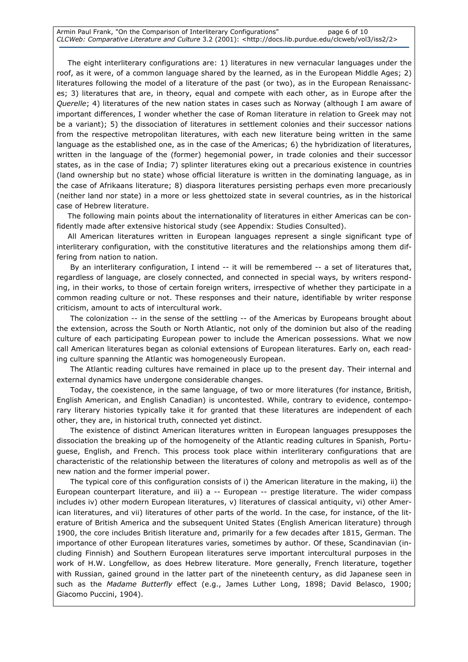The eight interliterary configurations are: 1) literatures in new vernacular languages under the roof, as it were, of a common language shared by the learned, as in the European Middle Ages; 2) literatures following the model of a literature of the past (or two), as in the European Renaissances; 3) literatures that are, in theory, equal and compete with each other, as in Europe after the Querelle; 4) literatures of the new nation states in cases such as Norway (although I am aware of important differences, I wonder whether the case of Roman literature in relation to Greek may not be a variant); 5) the dissociation of literatures in settlement colonies and their successor nations from the respective metropolitan literatures, with each new literature being written in the same language as the established one, as in the case of the Americas; 6) the hybridization of literatures, written in the language of the (former) hegemonial power, in trade colonies and their successor states, as in the case of India; 7) splinter literatures eking out a precarious existence in countries (land ownership but no state) whose official literature is written in the dominating language, as in the case of Afrikaans literature; 8) diaspora literatures persisting perhaps even more precariously (neither land nor state) in a more or less ghettoized state in several countries, as in the historical case of Hebrew literature.

The following main points about the internationality of literatures in either Americas can be confidently made after extensive historical study (see Appendix: Studies Consulted).

All American literatures written in European languages represent a single significant type of interliterary configuration, with the constitutive literatures and the relationships among them differing from nation to nation.

 By an interliterary configuration, I intend -- it will be remembered -- a set of literatures that, regardless of language, are closely connected, and connected in special ways, by writers responding, in their works, to those of certain foreign writers, irrespective of whether they participate in a common reading culture or not. These responses and their nature, identifiable by writer response criticism, amount to acts of intercultural work.

 The colonization -- in the sense of the settling -- of the Americas by Europeans brought about the extension, across the South or North Atlantic, not only of the dominion but also of the reading culture of each participating European power to include the American possessions. What we now call American literatures began as colonial extensions of European literatures. Early on, each reading culture spanning the Atlantic was homogeneously European.

 The Atlantic reading cultures have remained in place up to the present day. Their internal and external dynamics have undergone considerable changes.

 Today, the coexistence, in the same language, of two or more literatures (for instance, British, English American, and English Canadian) is uncontested. While, contrary to evidence, contemporary literary histories typically take it for granted that these literatures are independent of each other, they are, in historical truth, connected yet distinct.

 The existence of distinct American literatures written in European languages presupposes the dissociation the breaking up of the homogeneity of the Atlantic reading cultures in Spanish, Portuguese, English, and French. This process took place within interliterary configurations that are characteristic of the relationship between the literatures of colony and metropolis as well as of the new nation and the former imperial power.

 The typical core of this configuration consists of i) the American literature in the making, ii) the European counterpart literature, and iii) a -- European -- prestige literature. The wider compass includes iv) other modern European literatures, v) literatures of classical antiquity, vi) other American literatures, and vii) literatures of other parts of the world. In the case, for instance, of the literature of British America and the subsequent United States (English American literature) through 1900, the core includes British literature and, primarily for a few decades after 1815, German. The importance of other European literatures varies, sometimes by author. Of these, Scandinavian (including Finnish) and Southern European literatures serve important intercultural purposes in the work of H.W. Longfellow, as does Hebrew literature. More generally, French literature, together with Russian, gained ground in the latter part of the nineteenth century, as did Japanese seen in such as the Madame Butterfly effect (e.g., James Luther Long, 1898; David Belasco, 1900; Giacomo Puccini, 1904).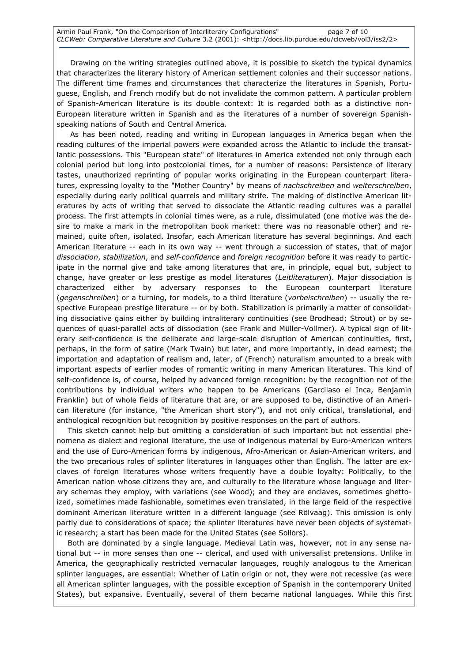Drawing on the writing strategies outlined above, it is possible to sketch the typical dynamics that characterizes the literary history of American settlement colonies and their successor nations. The different time frames and circumstances that characterize the literatures in Spanish, Portuguese, English, and French modify but do not invalidate the common pattern. A particular problem of Spanish-American literature is its double context: It is regarded both as a distinctive non-European literature written in Spanish and as the literatures of a number of sovereign Spanishspeaking nations of South and Central America.

 As has been noted, reading and writing in European languages in America began when the reading cultures of the imperial powers were expanded across the Atlantic to include the transatlantic possessions. This "European state" of literatures in America extended not only through each colonial period but long into postcolonial times, for a number of reasons: Persistence of literary tastes, unauthorized reprinting of popular works originating in the European counterpart literatures, expressing loyalty to the "Mother Country" by means of nachschreiben and weiterschreiben, especially during early political quarrels and military strife. The making of distinctive American literatures by acts of writing that served to dissociate the Atlantic reading cultures was a parallel process. The first attempts in colonial times were, as a rule, dissimulated (one motive was the desire to make a mark in the metropolitan book market: there was no reasonable other) and remained, quite often, isolated. Insofar, each American literature has several beginnings. And each American literature -- each in its own way -- went through a succession of states, that of major dissociation, stabilization, and self-confidence and foreign recognition before it was ready to participate in the normal give and take among literatures that are, in principle, equal but, subject to change, have greater or less prestige as model literatures (Leitliteraturen). Major dissociation is characterized either by adversary responses to the European counterpart literature (gegenschreiben) or a turning, for models, to a third literature (vorbeischreiben) -- usually the respective European prestige literature -- or by both. Stabilization is primarily a matter of consolidating dissociative gains either by building intraliterary continuities (see Brodhead; Strout) or by sequences of quasi-parallel acts of dissociation (see Frank and Müller-Vollmer). A typical sign of literary self-confidence is the deliberate and large-scale disruption of American continuities, first, perhaps, in the form of satire (Mark Twain) but later, and more importantly, in dead earnest; the importation and adaptation of realism and, later, of (French) naturalism amounted to a break with important aspects of earlier modes of romantic writing in many American literatures. This kind of self-confidence is, of course, helped by advanced foreign recognition: by the recognition not of the contributions by individual writers who happen to be Americans (Garcilaso el Inca, Benjamin Franklin) but of whole fields of literature that are, or are supposed to be, distinctive of an American literature (for instance, "the American short story"), and not only critical, translational, and anthological recognition but recognition by positive responses on the part of authors.

This sketch cannot help but omitting a consideration of such important but not essential phenomena as dialect and regional literature, the use of indigenous material by Euro-American writers and the use of Euro-American forms by indigenous, Afro-American or Asian-American writers, and the two precarious roles of splinter literatures in languages other than English. The latter are exclaves of foreign literatures whose writers frequently have a double loyalty: Politically, to the American nation whose citizens they are, and culturally to the literature whose language and literary schemas they employ, with variations (see Wood); and they are enclaves, sometimes ghettoized, sometimes made fashionable, sometimes even translated, in the large field of the respective dominant American literature written in a different language (see Rölvaag). This omission is only partly due to considerations of space; the splinter literatures have never been objects of systematic research; a start has been made for the United States (see Sollors).

Both are dominated by a single language. Medieval Latin was, however, not in any sense national but -- in more senses than one -- clerical, and used with universalist pretensions. Unlike in America, the geographically restricted vernacular languages, roughly analogous to the American splinter languages, are essential: Whether of Latin origin or not, they were not recessive (as were all American splinter languages, with the possible exception of Spanish in the contemporary United States), but expansive. Eventually, several of them became national languages. While this first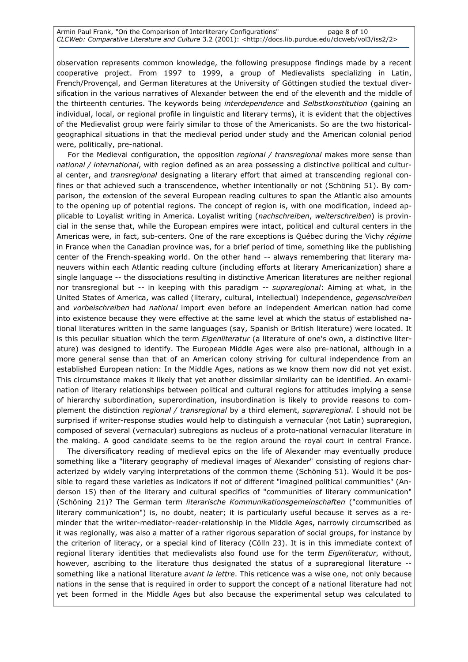observation represents common knowledge, the following presuppose findings made by a recent cooperative project. From 1997 to 1999, a group of Medievalists specializing in Latin, French/Provençal, and German literatures at the University of Göttingen studied the textual diversification in the various narratives of Alexander between the end of the eleventh and the middle of the thirteenth centuries. The keywords being interdependence and Selbstkonstitution (gaining an individual, local, or regional profile in linguistic and literary terms), it is evident that the objectives of the Medievalist group were fairly similar to those of the Americanists. So are the two historicalgeographical situations in that the medieval period under study and the American colonial period were, politically, pre-national.

For the Medieval configuration, the opposition regional / transregional makes more sense than national / international, with region defined as an area possessing a distinctive political and cultural center, and transregional designating a literary effort that aimed at transcending regional confines or that achieved such a transcendence, whether intentionally or not (Schöning 51). By comparison, the extension of the several European reading cultures to span the Atlantic also amounts to the opening up of potential regions. The concept of region is, with one modification, indeed applicable to Loyalist writing in America. Loyalist writing (nachschreiben, weiterschreiben) is provincial in the sense that, while the European empires were intact, political and cultural centers in the Americas were, in fact, sub-centers. One of the rare exceptions is Québec during the Vichy régime in France when the Canadian province was, for a brief period of time, something like the publishing center of the French-speaking world. On the other hand -- always remembering that literary maneuvers within each Atlantic reading culture (including efforts at literary Americanization) share a single language -- the dissociations resulting in distinctive American literatures are neither regional nor transregional but -- in keeping with this paradigm -- supraregional: Aiming at what, in the United States of America, was called (literary, cultural, intellectual) independence, gegenschreiben and vorbeischreiben had national import even before an independent American nation had come into existence because they were effective at the same level at which the status of established national literatures written in the same languages (say, Spanish or British literature) were located. It is this peculiar situation which the term Eigenliteratur (a literature of one's own, a distinctive literature) was designed to identify. The European Middle Ages were also pre-national, although in a more general sense than that of an American colony striving for cultural independence from an established European nation: In the Middle Ages, nations as we know them now did not yet exist. This circumstance makes it likely that yet another dissimilar similarity can be identified. An examination of literary relationships between political and cultural regions for attitudes implying a sense of hierarchy subordination, superordination, insubordination is likely to provide reasons to complement the distinction *regional / transregional* by a third element, *supraregional*. I should not be surprised if writer-response studies would help to distinguish a vernacular (not Latin) supraregion, composed of several (vernacular) subregions as nucleus of a proto-national vernacular literature in the making. A good candidate seems to be the region around the royal court in central France.

 The diversificatory reading of medieval epics on the life of Alexander may eventually produce something like a "literary geography of medieval images of Alexander" consisting of regions characterized by widely varying interpretations of the common theme (Schöning 51). Would it be possible to regard these varieties as indicators if not of different "imagined political communities" (Anderson 15) then of the literary and cultural specifics of "communities of literary communication" (Schöning 21)? The German term literarische Kommunikationsgemeinschaften ("communities of literary communication") is, no doubt, neater; it is particularly useful because it serves as a reminder that the writer-mediator-reader-relationship in the Middle Ages, narrowly circumscribed as it was regionally, was also a matter of a rather rigorous separation of social groups, for instance by the criterion of literacy, or a special kind of literacy (Cölln 23). It is in this immediate context of regional literary identities that medievalists also found use for the term Eigenliteratur, without, however, ascribing to the literature thus designated the status of a supraregional literature - something like a national literature *avant la lettre*. This reticence was a wise one, not only because nations in the sense that is required in order to support the concept of a national literature had not yet been formed in the Middle Ages but also because the experimental setup was calculated to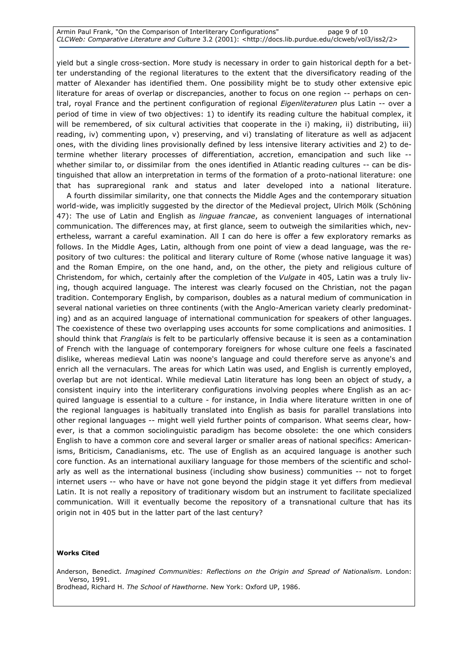Armin Paul Frank, "On the Comparison of Interliterary Configurations" page 9 of 10 CLCWeb: Comparative Literature and Culture 3.2 (2001): <http://docs.lib.purdue.edu/clcweb/vol3/iss2/2>

yield but a single cross-section. More study is necessary in order to gain historical depth for a better understanding of the regional literatures to the extent that the diversificatory reading of the matter of Alexander has identified them. One possibility might be to study other extensive epic literature for areas of overlap or discrepancies, another to focus on one region -- perhaps on central, royal France and the pertinent configuration of regional Eigenliteraturen plus Latin -- over a period of time in view of two objectives: 1) to identify its reading culture the habitual complex, it will be remembered, of six cultural activities that cooperate in the i) making, ii) distributing, iii) reading, iv) commenting upon, v) preserving, and vi) translating of literature as well as adjacent ones, with the dividing lines provisionally defined by less intensive literary activities and 2) to determine whether literary processes of differentiation, accretion, emancipation and such like - whether similar to, or dissimilar from the ones identified in Atlantic reading cultures -- can be distinguished that allow an interpretation in terms of the formation of a proto-national literature: one that has supraregional rank and status and later developed into a national literature.

 A fourth dissimilar similarity, one that connects the Middle Ages and the contemporary situation world-wide, was implicitly suggested by the director of the Medieval project, Ulrich Mölk (Schöning 47): The use of Latin and English as linguae francae, as convenient languages of international communication. The differences may, at first glance, seem to outweigh the similarities which, nevertheless, warrant a careful examination. All I can do here is offer a few exploratory remarks as follows. In the Middle Ages, Latin, although from one point of view a dead language, was the repository of two cultures: the political and literary culture of Rome (whose native language it was) and the Roman Empire, on the one hand, and, on the other, the piety and religious culture of Christendom, for which, certainly after the completion of the Vulgate in 405, Latin was a truly living, though acquired language. The interest was clearly focused on the Christian, not the pagan tradition. Contemporary English, by comparison, doubles as a natural medium of communication in several national varieties on three continents (with the Anglo-American variety clearly predominating) and as an acquired language of international communication for speakers of other languages. The coexistence of these two overlapping uses accounts for some complications and animosities. I should think that Franglais is felt to be particularly offensive because it is seen as a contamination of French with the language of contemporary foreigners for whose culture one feels a fascinated dislike, whereas medieval Latin was noone's language and could therefore serve as anyone's and enrich all the vernaculars. The areas for which Latin was used, and English is currently employed, overlap but are not identical. While medieval Latin literature has long been an object of study, a consistent inquiry into the interliterary configurations involving peoples where English as an acquired language is essential to a culture - for instance, in India where literature written in one of the regional languages is habitually translated into English as basis for parallel translations into other regional languages -- might well yield further points of comparison. What seems clear, however, is that a common sociolinguistic paradigm has become obsolete: the one which considers English to have a common core and several larger or smaller areas of national specifics: Americanisms, Briticism, Canadianisms, etc. The use of English as an acquired language is another such core function. As an international auxiliary language for those members of the scientific and scholarly as well as the international business (including show business) communities -- not to forget internet users -- who have or have not gone beyond the pidgin stage it yet differs from medieval Latin. It is not really a repository of traditionary wisdom but an instrument to facilitate specialized communication. Will it eventually become the repository of a transnational culture that has its origin not in 405 but in the latter part of the last century?

#### Works Cited

Anderson, Benedict. Imagined Communities: Reflections on the Origin and Spread of Nationalism. London: Verso, 1991. Brodhead, Richard H. The School of Hawthorne. New York: Oxford UP, 1986.